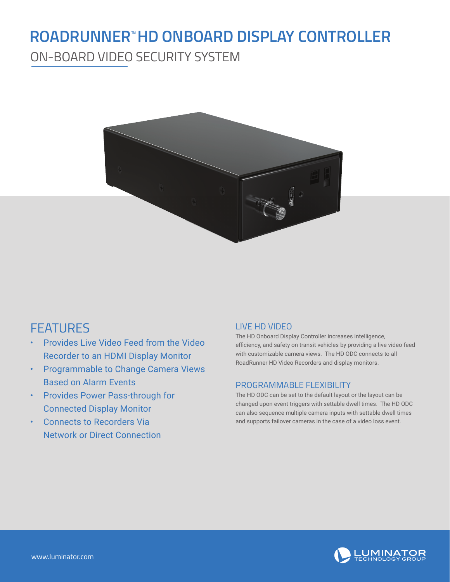## **ROADRUNNER™HD ONBOARD DISPLAY CONTROLLER**

ON-BOARD VIDEO SECURITY SYSTEM



### FEATURES

- Provides Live Video Feed from the Video Recorder to an HDMI Display Monitor
- Programmable to Change Camera Views Based on Alarm Events
- Provides Power Pass-through for Connected Display Monitor
- Connects to Recorders Via Network or Direct Connection

#### LIVE HD VIDEO

The HD Onboard Display Controller increases intelligence, efficiency, and safety on transit vehicles by providing a live video feed with customizable camera views. The HD ODC connects to all RoadRunner HD Video Recorders and display monitors.

#### PROGRAMMABLE FLEXIBILITY

The HD ODC can be set to the default layout or the layout can be changed upon event triggers with settable dwell times. The HD ODC can also sequence multiple camera inputs with settable dwell times and supports failover cameras in the case of a video loss event.